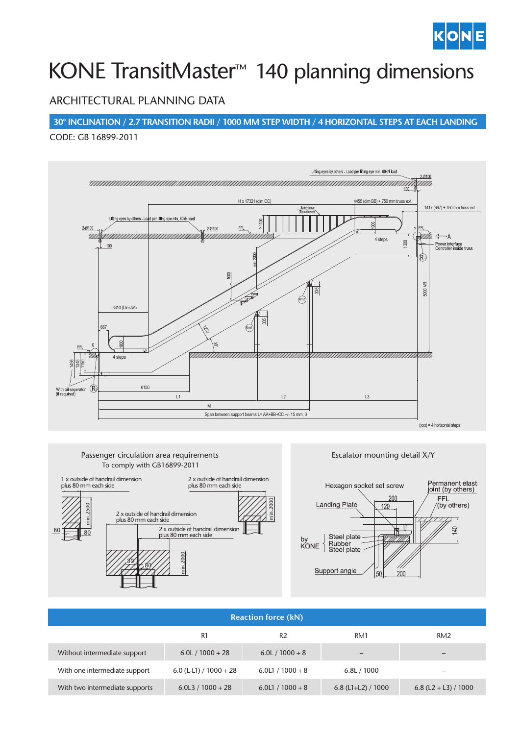

# KONE TransitMaster<sup>™</sup> 140 planning dimensions

## ARCHITECTURAL PLANNING DATA

**30° INCLINATION / 2.7 TRANSITION RADII / 1000 MM STEP WIDTH / 4 HORIZONTAL STEPS AT EACH LANDING**

CODE: GB 16899-2011





### $200$ Hexagon socket set screw Permanent elas<br>joint (by others) zi st FFL<br>(by others)  $200$  $120$  $\Box$ 200

| <b>Reaction force (kN)</b>     |                          |                    |                          |                          |  |  |  |  |
|--------------------------------|--------------------------|--------------------|--------------------------|--------------------------|--|--|--|--|
|                                | R1                       | R <sub>2</sub>     | RM1                      | RM <sub>2</sub>          |  |  |  |  |
| Without intermediate support   | $6.0 L / 1000 + 28$      | $6.0 L / 1000 + 8$ | $\overline{\phantom{0}}$ |                          |  |  |  |  |
| With one intermediate support  | 6.0 (L-L1) / $1000 + 28$ | $6.0L1 / 1000 + 8$ | 6.8L / 1000              | $\overline{\phantom{a}}$ |  |  |  |  |
| With two intermediate supports | $6.0L3 / 1000 + 28$      | $6.0L1 / 1000 + 8$ | 6.8 (L1+L2) / $1000$     | 6.8 (L2 + L3) / 1000     |  |  |  |  |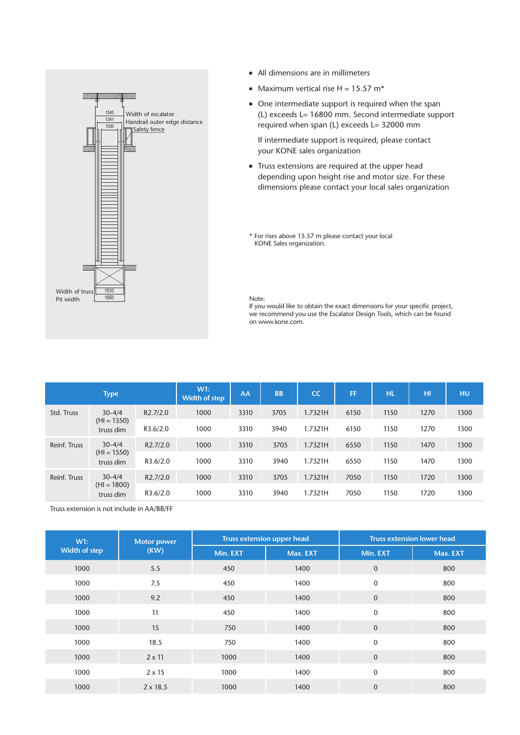

- All dimensions are in millimeters
- $Maximum$  vertical rise H = 15.57 m<sup>\*</sup>
- n One intermediate support is required when the span (L) exceeds L= 16800 mm. Second intermediate support required when span (L) exceeds L= 32000 mm

If intermediate support is required, please contact your KONE sales organization

Truss extensions are required at the upper head depending upon height rise and motor size. For these dimensions please contact your local sales organization

\* For rises above 15.57 m please contact your local KONE Sales organization.

#### Note:

If you would like to obtain the exact dimensions for your specific project, we recommend you use the Escalator Design Tools, which can be found on www.kone.com.

|                                                          | <b>Type</b> |          | W1:<br>Width of step | AA   | <b>BB</b> | <b>CC</b> | FF   | <b>HL</b> | HI   | HU   |
|----------------------------------------------------------|-------------|----------|----------------------|------|-----------|-----------|------|-----------|------|------|
| $30 - 4/4$<br>Std. Truss<br>$(HI = 1350)$<br>truss dim   | R2.7/2.0    | 1000     | 3310                 | 3705 | 1.7321H   | 6150      | 1150 | 1270      | 1300 |      |
|                                                          |             | R3.6/2.0 | 1000                 | 3310 | 3940      | 1.7321H   | 6150 | 1150      | 1270 | 1300 |
| $30 - 4/4$<br>Reinf. Truss<br>$(HI = 1550)$<br>truss dim | R2.7/2.0    | 1000     | 3310                 | 3705 | 1.7321H   | 6550      | 1150 | 1470      | 1300 |      |
|                                                          | R3.6/2.0    | 1000     | 3310                 | 3940 | 1.7321H   | 6550      | 1150 | 1470      | 1300 |      |
| $30 - 4/4$<br>Reinf. Truss<br>$(HI = 1800)$<br>truss dim |             | R2.7/2.0 | 1000                 | 3310 | 3705      | 1.7321H   | 7050 | 1150      | 1720 | 1300 |
|                                                          | R3.6/2.0    | 1000     | 3310                 | 3940 | 1.7321H   | 7050      | 1150 | 1720      | 1300 |      |

Truss extension is not include in AA/BB/FF

| W1:                  | <b>Motor power</b> |          | <b>Truss extension upper head</b> | <b>Truss extension lower head</b> |          |  |
|----------------------|--------------------|----------|-----------------------------------|-----------------------------------|----------|--|
| <b>Width of step</b> | (KW)               | Min. EXT | Max. EXT                          | Min. EXT                          | Max. EXT |  |
| 1000                 | 5.5                | 450      | 1400                              | $\mathbf{0}$                      | 800      |  |
| 1000                 | 7.5                | 450      | 1400                              | $\mathbf 0$                       | 800      |  |
| 1000                 | 9.2                | 450      | 1400                              | $\mathbf 0$                       | 800      |  |
| 1000                 | 11                 | 450      | 1400                              | $\mathbf 0$                       | 800      |  |
| 1000                 | 15                 | 750      | 1400                              | $\mathbf{0}$                      | 800      |  |
| 1000                 | 18.5               | 750      | 1400                              | $\mathbf 0$                       | 800      |  |
| 1000                 | $2 \times 11$      | 1000     | 1400                              | $\mathbf{0}$                      | 800      |  |
| 1000                 | $2 \times 15$      | 1000     | 1400                              | $\mathbf 0$                       | 800      |  |
| 1000                 | $2 \times 18.5$    | 1000     | 1400                              | $\mathbf{0}$                      | 800      |  |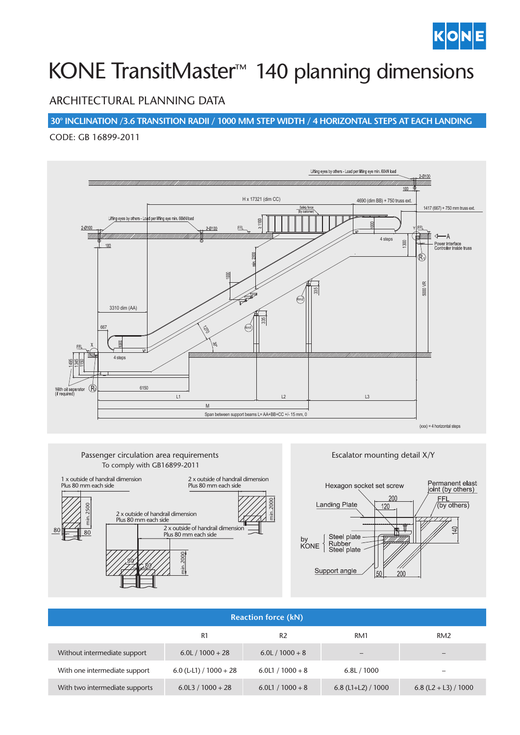

# KONE TransitMaster<sup>™</sup> 140 planning dimensions

## ARCHITECTURAL PLANNING DATA

**30° INCLINATION /3.6 TRANSITION RADII / 1000 MM STEP WIDTH / 4 HORIZONTAL STEPS AT EACH LANDING**

#### CODE: GB 16899-2011



#### Passenger Circulation Area Requirements To comply with GB16899-2011Passenger circulation area requirements



### Escalator mounting detail X/Y



| <b>Reaction force (kN)</b>     |                          |                    |                      |                          |  |  |  |  |
|--------------------------------|--------------------------|--------------------|----------------------|--------------------------|--|--|--|--|
|                                | R1                       | R <sub>2</sub>     | RM1                  | RM <sub>2</sub>          |  |  |  |  |
| Without intermediate support   | $6.0$ L $/1000 + 28$     | $6.0 L / 1000 + 8$ | -                    |                          |  |  |  |  |
| With one intermediate support  | 6.0 (L-L1) / $1000 + 28$ | $6.0L1 / 1000 + 8$ | 6.8L / 1000          | $\overline{\phantom{0}}$ |  |  |  |  |
| With two intermediate supports | $6.0L3 / 1000 + 28$      | $6.0L1 / 1000 + 8$ | 6.8 (L1+L2) / $1000$ | 6.8 (L2 + L3) / 1000     |  |  |  |  |